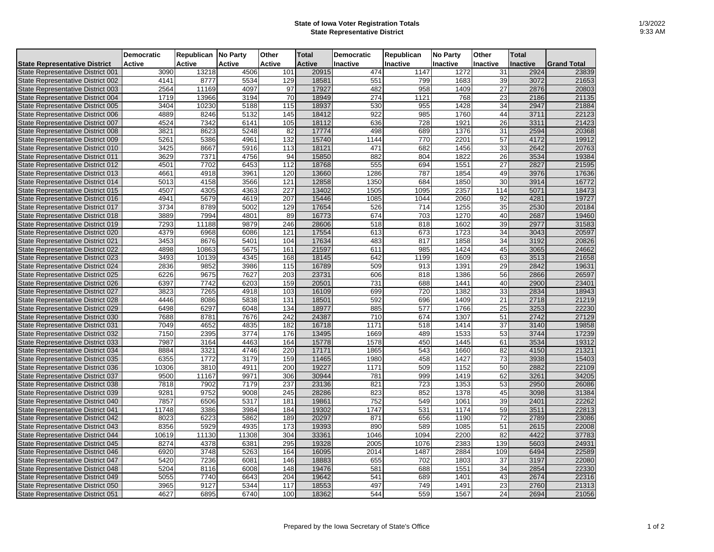## **State of Iowa Voter Registration Totals State Representative District**

|                                          | <b>Democratic</b> | Republican No Party |               | Other            | <b>Total</b>  | <b>Democratic</b> | Republican | <b>No Party</b> | Other           | <b>Total</b> |                    |
|------------------------------------------|-------------------|---------------------|---------------|------------------|---------------|-------------------|------------|-----------------|-----------------|--------------|--------------------|
| <b>State Representative District</b>     | Active            | Active              | <b>Active</b> | <b>Active</b>    | <b>Active</b> | Inactive          | Inactive   | <b>Inactive</b> | <b>Inactive</b> | Inactive     | <b>Grand Total</b> |
| State Representative District 001        | 3090              | 13218               | 4506          | 101              | 20915         | 474               | 1147       | 1272            | 31              | 2924         | 23839              |
| State Representative District 002        | 4141              | 8777                | 5534          | 129              | 18581         | 551               | 799        | 1683            | 39              | 3072         | 21653              |
| State Representative District 003        | 2564              | 11169               | 4097          | 97               | 17927         | 482               | 958        | 1409            | 27              | 2876         | 20803              |
| State Representative District 004        | 1719              | 13966               | 3194          | 70               | 18949         | 274               | 1121       | 768             | 23              | 2186         | 21135              |
| State Representative District 005        | 3404              | 10230               | 5188          | 115              | 18937         | 530               | 955        | 1428            | 34              | 2947         | 21884              |
| State Representative District 006        | 4889              | 8246                | 5132          | 145              | 18412         | 922               | 985        | 1760            | 44              | 3711         | 22123              |
| State Representative District 007        | 4524              | 7342                | 6141          | 105              | 18112         | 636               | 728        | 1921            | 26              | 3311         | 21423              |
| State Representative District 008        | 3821              | 8623                | 5248          | 82               | 17774         | 498               | 689        | 1376            | 31              | 2594         | 20368              |
| State Representative District 009        | 5261              | 5386                | 4961          | 132              | 15740         | 1144              | 770        | 2201            | 57              | 4172         | 19912              |
| State Representative District 010        | 3425              | 8667                | 5916          | 113              | 18121         | 471               | 682        | 1456            | 33              | 2642         | 20763              |
| State Representative District 011        | 3629              | 7371                | 4756          | 94               | 15850         | 882               | 804        | 1822            | 26              | 3534         | 19384              |
| State Representative District 012        | 4501              | 7702                | 6453          | 112              | 18768         | 555               | 694        | 1551            | 27              | 2827         | 21595              |
| State Representative District 013        | 4661              | 4918                | 3961          | 120              | 13660         | 1286              | 787        | 1854            | 49              | 3976         | 17636              |
| State Representative District 014        | 5013              | 4158                | 3566          | 121              | 12858         | 1350              | 684        | 1850            | 30              | 3914         | 16772              |
| State Representative District 015        | 4507              | 4305                | 4363          | 227              | 13402         | 1505              | 1095       | 2357            | 114             | 5071         | 18473              |
| State Representative District 016        | 4941              | 5679                | 4619          | 207              | 15446         | 1085              | 1044       | 2060            | 92              | 4281         | 19727              |
| State Representative District 017        | 3734              | 8789                | 5002          | 129              | 17654         | 526               | 714        | 1255            | 35              | 2530         | 20184              |
| State Representative District 018        | 3889              | 7994                | 4801          | 89               | 16773         | 674               | 703        | 1270            | 40              | 2687         | 19460              |
| State Representative District 019        | 7293              | 11188               | 9879          | 246              | 28606         | 518               | 818        | 1602            | 39              | 2977         | 31583              |
| State Representative District 020        | 4379              | 6968                | 6086          | 121              | 17554         | 613               | 673        | 1723            | 34              | 3043         | 20597              |
| State Representative District 021        | 3453              | 8676                | 5401          | 104              | 17634         | 483               | 817        | 1858            | 34              | 3192         | 20826              |
| State Representative District 022        | 4898              | 10863               | 5675          | 161              | 21597         | 611               | 985        | 1424            | 45              | 3065         | 24662              |
| State Representative District 023        | 3493              | 10139               | 4345          | 168              | 18145         | 642               | 1199       | 1609            | 63              | 3513         | 21658              |
| <b>State Representative District 024</b> | 2836              | 9852                | 3986          | 115              | 16789         | 509               | 913        | 1391            | 29              | 2842         | 19631              |
| State Representative District 025        | 6226              | 9675                | 7627          | 203              | 23731         | 606               | 818        | 1386            | 56              | 2866         | 26597              |
| State Representative District 026        | 6397              | 7742                | 6203          | 159              | 20501         | 731               | 688        | 1441            | 40              | 2900         | 23401              |
| State Representative District 027        | 3823              | 7265                | 4918          | 103              | 16109         | 699               | 720        | 1382            | 33              | 2834         | 18943              |
| State Representative District 028        | 4446              | 8086                | 5838          | 131              | 18501         | 592               | 696        | 1409            | 21              | 2718         | 21219              |
| State Representative District 029        | 6498              | 6297                | 6048          | 134              | 18977         | 885               | 577        | 1766            | 25              | 3253         | 22230              |
| State Representative District 030        | 7688              | 8781                | 7676          | 242              | 24387         | 710               | 674        | 1307            | 51              | 2742         | 27129              |
| State Representative District 031        | 7049              | 4652                | 4835          | 182              | 16718         | 1171              | 518        | 1414            | 37              | 3140         | 19858              |
| State Representative District 032        | 7150              | 2395                | 3774          | 176              | 13495         | 1669              | 489        | 1533            | 53              | 3744         | 17239              |
| State Representative District 033        | 7987              | 3164                | 4463          | 164              | 15778         | 1578              | 450        | 1445            | 61              | 3534         | 19312              |
| State Representative District 034        | 8884              | 3321                | 4746          | 220              | 17171         | 1865              | 543        | 1660            | 82              | 4150         | 21321              |
| State Representative District 035        | 6355              | 1772                | 3179          | 159              | 11465         | 1980              | 458        | 1427            | 73              | 3938         | 15403              |
| State Representative District 036        | 10306             | 3810                | 4911          | 200              | 19227         | 1171              | 509        | 1152            | 50              | 2882         | 22109              |
| State Representative District 037        | 9500              | 11167               | 9971          | 306              | 30944         | 781               | 999        | 1419            | 62              | 3261         | 34205              |
| State Representative District 038        | 7818              | 7902                | 7179          | 237              | 23136         | 821               | 723        | 1353            | 53              | 2950         | 26086              |
| State Representative District 039        | 9281              | 9752                | 9008          | 245              | 28286         | 823               | 852        | 1378            | 45              | 3098         | 31384              |
| State Representative District 040        | 7857              | 6506                | 5317          | 181              | 19861         | 752               | 549        | 1061            | 39              | 2401         | 22262              |
| State Representative District 041        | 11748             | 3386                | 3984          | 184              | 19302         | 1747              | 531        | 1174            | 59              | 3511         | 22813              |
| State Representative District 042        | 8023              | 6223                | 5862          | 189              | 20297         | 871               | 656        | 1190            | $\overline{72}$ | 2789         | 23086              |
| State Representative District 043        | 8356              | 5929                | 4935          | 173              | 19393         | 890               | 589        | 1085            | 51              | 2615         | 22008              |
| State Representative District 044        | 10619             | 11130               | 11308         | 304              | 33361         | 1046              | 1094       | 2200            | 82              | 4422         | 37783              |
| State Representative District 045        | 8274              | 4378                | 6381          | 295              | 19328         | 2005              | 1076       | 2383            | 139             | 5603         | 24931              |
| State Representative District 046        | 6920              | 3748                | 5263          | 164              | 16095         | 2014              | 1487       | 2884            | 109             | 6494         | 22589              |
| State Representative District 047        | 5420              | 7236                | 6081          | 146              | 18883         | 655               | 702        | 1803            | 37              | 3197         | 22080              |
| State Representative District 048        | 5204              | 8116                | 6008          | 148              | 19476         | 581               | 688        | 1551            | 34              | 2854         | 22330              |
| State Representative District 049        | 5055              | 7740                | 6643          | $\overline{204}$ | 19642         | 541               | 689        | 1401            | 43              | 2674         | 22316              |
| State Representative District 050        | 3965              | 9127                | 5344          | 117              | 18553         | 497               | 749        | 1491            | 23              | 2760         | 21313              |
|                                          | 4627              | 6895                | 6740          | 100              | 18362         | 544               | 559        | 1567            | 24              | 2694         | 21056              |
| State Representative District 051        |                   |                     |               |                  |               |                   |            |                 |                 |              |                    |